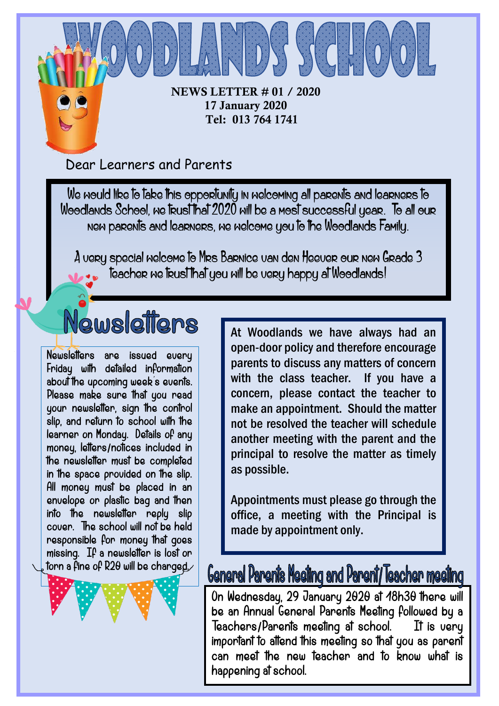NEWS LETTER # 01 / 2020 17 January 2020 Tel: 013 764 1741

Dear Learners and Parents

We would like to take this opportunity in welcoming all parents and learners to Woodlands School, we trust that 2020 will be a most successful year. To all our new parents and learners, we welcome you to the Woodlands Family.

 $\lambda$  uery special nelcome to Mrs Barnice van den Heever our nen Grade 3 teacher we trust that you will be very happy at Woodlands! Ī ļ

# Newsletters

 $\overline{1}$  $\overline{\phantom{a}}$  $\overline{\phantom{a}}$  $\overline{\phantom{a}}$ 

 $\overline{\phantom{a}}$  $\overline{\phantom{a}}$  $\overline{\phantom{a}}$  $\overline{\phantom{a}}$  $\overline{\phantom{a}}$  $\overline{\phantom{a}}$  $\overline{\phantom{a}}$  $\overline{\phantom{a}}$  $\overline{\phantom{a}}$  $\overline{\phantom{a}}$ 

Newsletters are issued every Friday with detailed information about the upcoming week's events. Please make sure that you read your newsletter, sign the control slip, and return to school with the learner on Monday. Details of any money, letters/notices included in the newsletter must be completed in the space provided on the slip. All money must be placed in an envelope or plastic bag and then into the newsletter reply slip cover. The school will not be held responsible for money that goes missing. If a newsletter is lost or torn a fine of R20 will be charged.

╄  $\overline{a}$  At Woodlands we have always had an open-door policy and therefore encourage parents to discuss any matters of concern with the class teacher. If you have a concern, please contact the teacher to make an appointment. Should the matter not be resolved the teacher will schedule another meeting with the parent and the principal to resolve the matter as timely as possible.

Appointments must please go through the office, a meeting with the Principal is made by appointment only.

### General Parents Meeting and Parent/Teacher meeting

On Wednesday, 29 January 2020 at 18h30 there will be an Annual General Parents Meeting followed by a Teachers/Parents meeting at school. It is very important to attend this meeting so that you as parent can meet the new teacher and to know what is happening at school.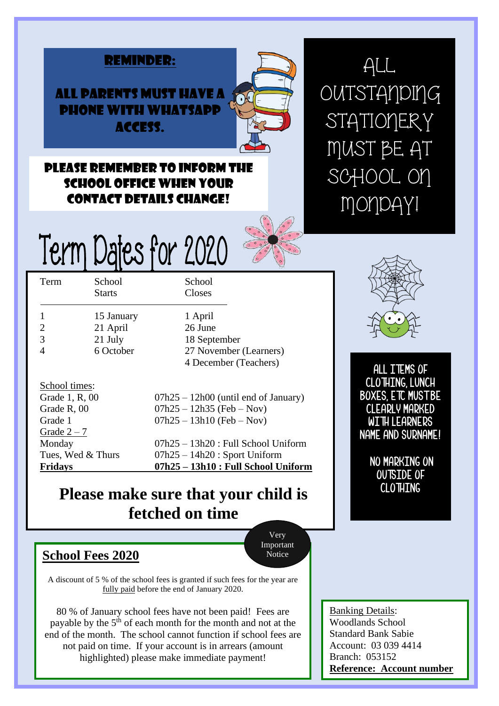

#### Please remember to inform the school office when your contact details change!

ALL **OUTSTANDING** STATIONERY MUST BE AT SCHOOL ON MONDAY!

| Term | School<br><b>Starts</b> | School<br>Closes                                |
|------|-------------------------|-------------------------------------------------|
|      | 15 January<br>21 April  | 1 April<br>26 June                              |
| 3    | 21 July                 | 18 September                                    |
|      | 6 October               | 27 November (Learners)<br>4 December (Teachers) |

School times:

I

| Fridays           | 07h25 - 13h10 : Full School Uniform    |
|-------------------|----------------------------------------|
| Tues, Wed & Thurs | $07h25 - 14h20$ : Sport Uniform        |
| Monday            | $07h25 - 13h20$ : Full School Uniform  |
| Grade $2-7$       |                                        |
| Grade 1           | $07h25 - 13h10$ (Feb – Nov)            |
| Grade R, 00       | $07h25 - 12h35$ (Feb – Nov)            |
| Grade 1, R, 00    | $07h25 - 12h00$ (until end of January) |

### **Please make sure that your child is fetched on time**



ALL ITEMS OF CLOTHING, LUNCH BOXES, ETC MUSTBE CLEARLY MARKED WITH LEARNERS NAME AND SURNAME!

> NO MARKING ON OUTSIDE OF CLOTHING

#### **School Fees 2020**

Very Important Notice

A discount of 5 % of the school fees is granted if such fees for the year are fully paid before the end of January 2020.

80 % of January school fees have not been paid! Fees are payable by the  $5<sup>th</sup>$  of each month for the month and not at the end of the month. The school cannot function if school fees are not paid on time. If your account is in arrears (amount highlighted) please make immediate payment!

Banking Details: Woodlands School Standard Bank Sabie Account: 03 039 4414 Branch: 053152 **Reference: Account number**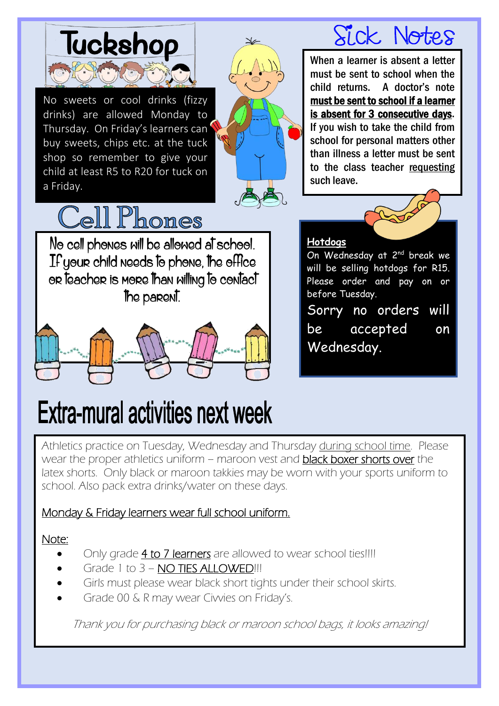

 Thursday. On Friday's learners can shop so remember to give your No sweets or cool drinks (fizzy drinks) are allowed Monday to buy sweets, chips etc. at the tuck child at least R5 to R20 for tuck on a Friday.



## Sick Notes

When a learner is absent a letter must be sent to school when the child returns. A doctor's note must be sent to school if a learner is absent for 3 consecutive days. If you wish to take the child from school for personal matters other than illness a letter must be sent to the class teacher requesting such leave.

# Cell Phones

No cell phones will be allowed at school. If your child needs to phone, the office or teacher is more than willing to contact the parent.



**Extra-mural activities next week** 

#### On Wednesday at 2<sup>nd</sup> break we will be selling hotdogs for R15. Please order and pay on or before Tuesday. Sorry no orders will be accepted on

Wednesday.

**Hotdogs**

Athletics practice on Tuesday, Wednesday and Thursday during school time. Please wear the proper athletics uniform – maroon vest and **black boxer shorts over** the latex shorts. Only black or maroon takkies may be worn with your sports uniform to school. Also pack extra drinks/water on these days.

### Monday & Friday learners wear full school uniform.

#### Note:

I

- Only grade 4 to 7 learners are allowed to wear school ties!!!!
- Grade 1 to 3 NO TIES ALLOWED!!!
- Girls must please wear black short tights under their school skirts.
- Grade 00 & R may wear Ciwies on Friday's.

Thank you for purchasing black or maroon school bags, it looks amazing!